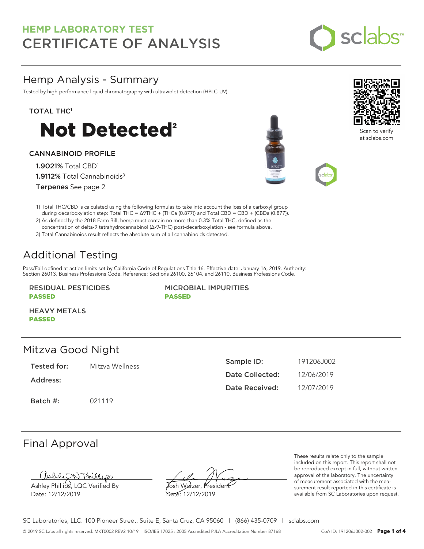

# Hemp Analysis - Summary

Tested by high-performance liquid chromatography with ultraviolet detection (HPLC-UV).

### TOTAL THC<sup>1</sup>



### CANNABINOID PROFILE

1.9021% Total CBD<sup>1</sup> 1.9112% Total Cannabinoids<sup>3</sup> Terpenes See page 2





Scan to verify at sclabs.com



2) As defined by the 2018 Farm Bill, hemp must contain no more than 0.3% Total THC, defined as the concentration of delta-9 tetrahydrocannabinol (Δ-9-THC) post-decarboxylation - see formula above.

3) Total Cannabinoids result reflects the absolute sum of all cannabinoids detected.

# Additional Testing

Pass/Fail defined at action limits set by California Code of Regulations Title 16. Effective date: January 16, 2019. Authority: Section 26013, Business Professions Code. Reference: Sections 26100, 26104, and 26110, Business Professions Code.

### RESIDUAL PESTICIDES PASSED

MICROBIAL IMPURITIES PASSED

HEAVY METALS PASSED

## Mitzva Good Night

Tested for: Mitzva Wellness

Address:

Batch #: 021119

| Sample ID:      | 191206.1002 |
|-----------------|-------------|
| Date Collected: | 12/06/2019  |
| Date Received:  | 12/07/2019  |

# Final Approval

Ashley Phillips, LQC Verified By

Date: 12/12/2019

Josh Wurzer, President Date: 12/12/2019

These results relate only to the sample included on this report. This report shall not be reproduced except in full, without written approval of the laboratory. The uncertainty of measurement associated with the measurement result reported in this certificate is available from SC Laboratories upon request.

SC Laboratories, LLC. 100 Pioneer Street, Suite E, Santa Cruz, CA 95060 | (866) 435-0709 | sclabs.com © 2019 SC Labs all rights reserved. MKT0002 REV2 10/19 ISO/IES 17025 : 2005 Accredited PJLA Accreditation Number 87168 CoA ID: 191206J002-002 **Page 1 of 4**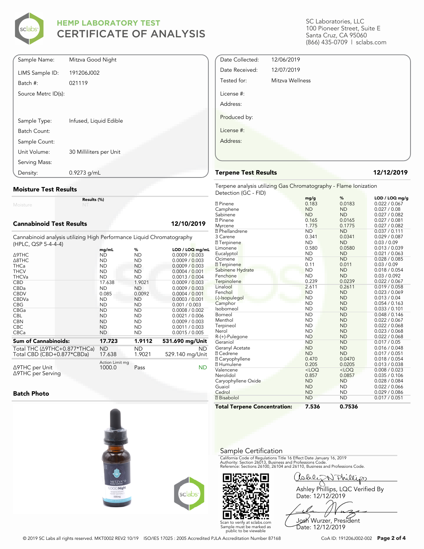

| Sample Name:        | Mitzva Good Night       |
|---------------------|-------------------------|
| LIMS Sample ID:     | 191206J002              |
| Batch #:            | 021119                  |
| Source Metrc ID(s): |                         |
|                     |                         |
| Sample Type:        | Infused, Liquid Edible  |
| Batch Count:        |                         |
| Sample Count:       |                         |
| Unit Volume:        | 30 Milliliters per Unit |
| Serving Mass:       |                         |
| Density:            | $0.9273$ g/mL           |

#### **Moisture Test Results**

Moisture

#### **Cannabinoid Test Results 12/10/2019**

Cannabinoid analysis utilizing High Performance Liquid Chromatography (HPLC, QSP 5-4-4-4)

**Results (%)**

|                           |                    | $LOD / LOQ$ mg/mL |
|---------------------------|--------------------|-------------------|
| ND                        | ND                 | 0.0009 / 0.003    |
| <b>ND</b>                 | <b>ND</b>          | 0.0009 / 0.003    |
| <b>ND</b>                 | <b>ND</b>          | 0.0009 / 0.003    |
| <b>ND</b>                 | <b>ND</b>          | 0.0004 / 0.001    |
| <b>ND</b>                 | <b>ND</b>          | 0.0013 / 0.004    |
| 17.638                    | 1.9021             | 0.0009 / 0.003    |
|                           |                    | 0.0009 / 0.003    |
| 0.085                     | 0.0092             | 0.0004 / 0.001    |
| <b>ND</b>                 | ND                 | 0.0003 / 0.001    |
| <b>ND</b>                 | ND                 | 0.001 / 0.003     |
| <b>ND</b>                 | <b>ND</b>          | 0.0008 / 0.002    |
| <b>ND</b>                 | <b>ND</b>          | 0.0021 / 0.006    |
| <b>ND</b>                 | ND                 | 0.0009 / 0.003    |
| <b>ND</b>                 | <b>ND</b>          | 0.0011 / 0.003    |
| <b>ND</b>                 | <b>ND</b>          | 0.0015 / 0.005    |
| 17.723                    | 1.9112             | 531.690 mg/Unit   |
| ND                        | ND.                | <b>ND</b>         |
| 17.638                    | 1.9021             | 529.140 mg/Unit   |
| Action Limit mg<br>1000.0 | Pass               | ND                |
|                           | mg/mL<br><b>ND</b> | %<br><b>ND</b>    |

#### **Batch Photo**







SC Laboratories, LLC 100 Pioneer Street, Suite E Santa Cruz, CA 95060 (866) 435-0709 | sclabs.com

| Mitzva Wellness |
|-----------------|
|                 |
|                 |
|                 |
|                 |
|                 |

### **Terpene Test Results 12/12/2019**

Date Collected: 12/06/2019 Date Received: 12/07/2019

Terpene analysis utilizing Gas Chromatography - Flame Ionization Detection (GC - FID)

|                                     | mg/g      | ℅         | LOD / LOQ mg/g |
|-------------------------------------|-----------|-----------|----------------|
| <b>7</b> Pinene                     | 0.183     | 0.0183    | 0.022 / 0.067  |
| Camphene                            | <b>ND</b> | <b>ND</b> | 0.027 / 0.08   |
| Sabinene                            | <b>ND</b> | <b>ND</b> | 0.027 / 0.082  |
| <b>7</b> Pinene                     | 0.165     | 0.0165    | 0.027 / 0.081  |
| Myrcene                             | 1.775     | 0.1775    | 0.027 / 0.082  |
| <sup>2</sup> Phellandrene           | <b>ND</b> | <b>ND</b> | 0.037 / 0.111  |
| 3 Carene                            | 0.341     | 0.0341    | 0.029 / 0.087  |
| <b>7</b> Terpinene                  | <b>ND</b> | <b>ND</b> | 0.03 / 0.09    |
| Limonene                            | 0.580     | 0.0580    | 0.013 / 0.039  |
| Eucalyptol                          | <b>ND</b> | <b>ND</b> | 0.021 / 0.063  |
| Ocimene                             | <b>ND</b> | <b>ND</b> | 0.028 / 0.085  |
| <b>7</b> Terpinene                  | 0.11      | 0.011     | 0.03 / 0.09    |
| Sabinene Hydrate                    | <b>ND</b> | <b>ND</b> | 0.018 / 0.054  |
| Fenchone                            | <b>ND</b> | <b>ND</b> | 0.03 / 0.092   |
| Terpinolene                         | 0.239     | 0.0239    | 0.022 / 0.067  |
| Linalool                            | 2.611     | 0.2611    | 0.019 / 0.058  |
| Fenchol                             | <b>ND</b> | <b>ND</b> | 0.023 / 0.069  |
| (-)-Isopulegol                      | <b>ND</b> | <b>ND</b> | 0.013 / 0.04   |
| Camphor                             | <b>ND</b> | <b>ND</b> | 0.054 / 0.163  |
| Isoborneol                          | <b>ND</b> | <b>ND</b> | 0.033 / 0.101  |
| Borneol                             | <b>ND</b> | <b>ND</b> | 0.048 / 0.146  |
| Menthol                             | <b>ND</b> | <b>ND</b> | 0.022 / 0.067  |
| Terpineol                           | <b>ND</b> | <b>ND</b> | 0.022 / 0.068  |
| Nerol                               | <b>ND</b> | <b>ND</b> | 0.023 / 0.068  |
| R-(+)-Pulegone                      | <b>ND</b> | <b>ND</b> | 0.022 / 0.068  |
| Geraniol                            | <b>ND</b> | <b>ND</b> | 0.017 / 0.05   |
| Geranyl Acetate                     | <b>ND</b> | <b>ND</b> | 0.016 / 0.048  |
| <b>7 Cedrene</b>                    | <b>ND</b> | <b>ND</b> | 0.017 / 0.051  |
| <b>2 Caryophyllene</b>              | 0.470     | 0.0470    | 0.018 / 0.054  |
| <b>7</b> Humulene                   | 0.205     | 0.0205    | 0.013 / 0.038  |
| Valencene                           | $<$ LOQ   | $<$ LOQ   | 0.008 / 0.023  |
| Nerolidol                           | 0.857     | 0.0857    | 0.035 / 0.106  |
| Caryophyllene Oxide                 | <b>ND</b> | <b>ND</b> | 0.028 / 0.084  |
| Guaiol                              | <b>ND</b> | <b>ND</b> | 0.022 / 0.066  |
| Cedrol                              | <b>ND</b> | <b>ND</b> | 0.029 / 0.086  |
| <b>7</b> Bisabolol                  | <b>ND</b> | <b>ND</b> | 0.017 / 0.051  |
| <b>Total Terpene Concentration:</b> | 7.536     | 0.7536    |                |

#### Sample Certification

California Code of Regulations Title 16 Effect Date January 16, 2019<br>Authority: Section 26013, Business and Professions Code.<br>Reference: Sections 26100, 26104 and 26110, Business and Professions Code.

Cable NPhillips Ashley Phillips, LQC Verified By Date: 12/12/2019

Josh Wurzer, President

Date: 12/12/2019

© 2019 SC Labs all rights reserved. MKT0002 REV2 10/19 ISO/IES 17025 : 2005 Accredited PJLA Accreditation Number 87168 CoA ID: 191206J002-002 **Page 2 of 4**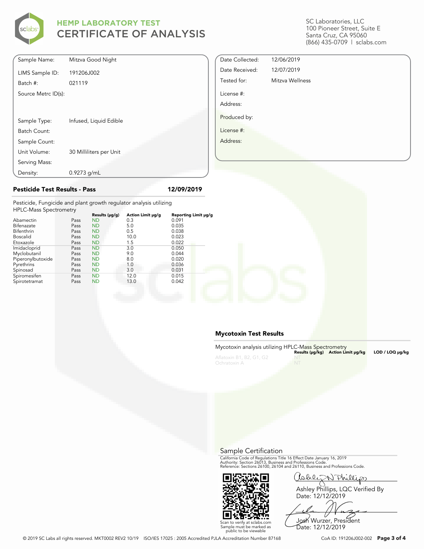

SC Laboratories, LLC 100 Pioneer Street, Suite E Santa Cruz, CA 95060 (866) 435-0709 | sclabs.com

| Sample Name:        | Mitzva Good Night       |
|---------------------|-------------------------|
| LIMS Sample ID:     | 191206J002              |
| Batch #:            | 021119                  |
| Source Metrc ID(s): |                         |
|                     |                         |
|                     |                         |
| Sample Type:        | Infused, Liquid Edible  |
| Batch Count:        |                         |
| Sample Count:       |                         |
| Unit Volume:        | 30 Milliliters per Unit |
| Serving Mass:       |                         |
| Density:            | $0.9273$ g/mL           |

**Pesticide Test Results - Pass 12/09/2019**

| Date Collected: | 12/06/2019      |
|-----------------|-----------------|
| Date Received:  | 12/07/2019      |
| Tested for:     | Mitzva Wellness |
| License #:      |                 |
| Address:        |                 |
| Produced by:    |                 |
| License #:      |                 |
| Address:        |                 |

Pesticide, Fungicide and plant growth regulator analysis utilizing

| <b>HPLC-Mass Spectrometry</b> |      |                     |                   |                      |  |
|-------------------------------|------|---------------------|-------------------|----------------------|--|
|                               |      | Results $(\mu g/g)$ | Action Limit µg/g | Reporting Limit µg/g |  |
| Abamectin                     | Pass | <b>ND</b>           | 0.3               | 0.091                |  |
| Bifenazate                    | Pass | <b>ND</b>           | 5.0               | 0.035                |  |
| Bifenthrin                    | Pass | <b>ND</b>           | 0.5               | 0.038                |  |
| <b>Boscalid</b>               | Pass | <b>ND</b>           | 10.0              | 0.023                |  |
| Etoxazole                     | Pass | <b>ND</b>           | 1.5               | 0.022                |  |
| Imidacloprid                  | Pass | <b>ND</b>           | 3.0               | 0.050                |  |
| Myclobutanil                  | Pass | <b>ND</b>           | 9.0               | 0.044                |  |
| Piperonylbutoxide             | Pass | <b>ND</b>           | 8.0               | 0.020                |  |
| Pyrethrins                    | Pass | <b>ND</b>           | 1.0               | 0.036                |  |
| Spinosad                      | Pass | <b>ND</b>           | 3.0               | 0.031                |  |
| Spiromesifen                  | Pass | <b>ND</b>           | 12.0              | 0.015                |  |
| Spirotetramat                 | Pass | <b>ND</b>           | 13.0              | 0.042                |  |
|                               |      |                     |                   |                      |  |

### **Mycotoxin Test Results**

| Mycotoxin analysis utilizing HPLC-Mass Spectrometry |           | Results (µq/kq) Action Limit µq/kq | LOD / LOQ µq/kq |
|-----------------------------------------------------|-----------|------------------------------------|-----------------|
| Aflatoxin B1, B2, G1, G2<br>Ochratoxin A            | <b>NT</b> |                                    |                 |

Sample Certification

California Code of Regulations Title 16 Effect Date January 16, 2019<br>Authority: Section 26013, Business and Professions Code.<br>Reference: Sections 26100, 26104 and 26110, Business and Professions Code.



Callez Anillip

Ashley Phillips, LQC Verified By Date: 12/12/2019

Josh Wurzer, President Date: 12/12/2019

© 2019 SC Labs all rights reserved. MKT0002 REV2 10/19 ISO/IES 17025 : 2005 Accredited PJLA Accreditation Number 87168 CoA ID: 191206J002-002 **Page 3 of 4**